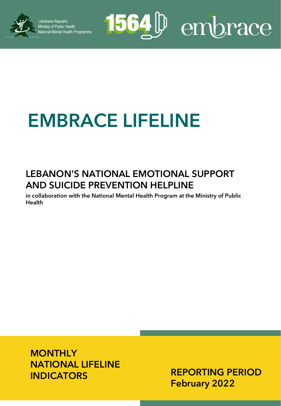

1564<sup>[p]</sup> embrace

# **EMBRACE LIFELINE**

### **LEBANON'S NATIONAL EMOTIONAL SUPPORT AND SUICIDE PREVENTION HELPLINE**

**in collaboration with the National Mental Health Program at the Ministry of Public Health**

**MONTHLY NATIONAL LIFELINE INDICATORS**

**REPORTING PERIOD February 2022**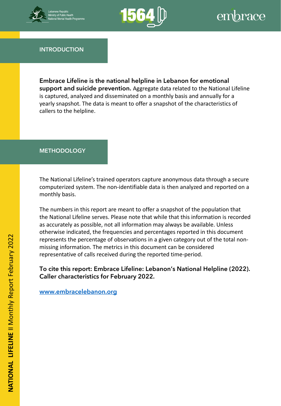



**INTRODUCTION**

**Embrace Lifeline is the national helpline in Lebanon for emotional support and suicide prevention.** Aggregate data related to the National Lifeline is captured, analyzed and disseminated on a monthly basis and annually for a yearly snapshot. The data is meant to offer a snapshot of the characteristics of callers to the helpline.

#### **METHODOLOGY**

computerized system. The non-identifiable data is then analyzed and reported on a The National Lifeline's trained operators capture anonymous data through a secure monthly basis.

The numbers in this report are meant to offer a snapshot of the population that the National Lifeline serves. Please note that while that this information is recorded as accurately as possible, not all information may always be available. Unless otherwise indicated, the frequencies and percentages reported in this document represents the percentage of observations in a given category out of the total nonmissing information. The metrics in this document can be considered representative of calls received during the reported time-period.

**To cite this report: Embrace Lifeline: Lebanon's National Helpline (2022). Caller characteristics for February 2022.** 

**[www.embracelebanon.org](http://www.embracelebanon.org/)**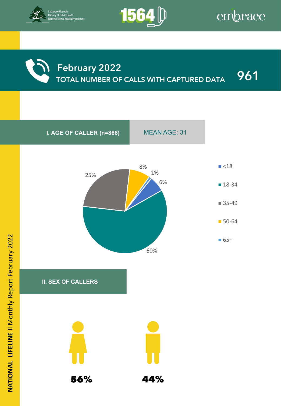



### **February 2022 TOTAL NUMBER OF CALLS WITH CAPTURED DATA 961**

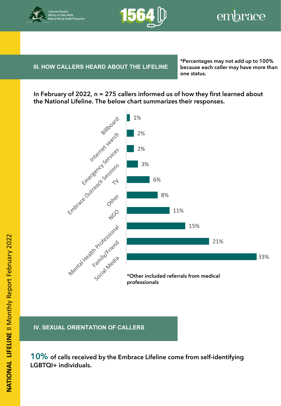



### **III. HOW CALLERS HEARD ABOUT THE LIFELINE** because

**IV. BENEFICIARY INFORMATION**

**\*Percentages may not add up to 100% because each caller may have more than one status.**

**In February of 2022, n = 275 callers informed us of how they first learned about the National Lifeline. The below chart summarizes their responses.**



**IV. SEXUAL ORIENTATION OF CALLERS**

**10% of calls received by the Embrace Lifeline come from self-identifying LGBTQI+ individuals.**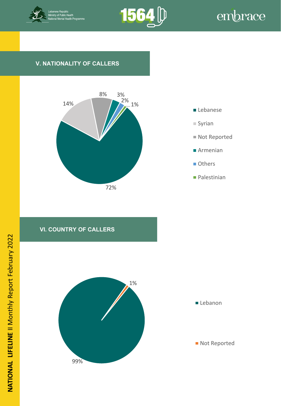



#### **V. NATIONALITY OF CALLERS**







**Palestinian** 

#### **VI. COUNTRY OF CALLERS**

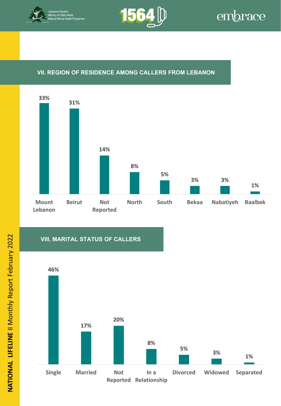



#### **VII. REGION OF RESIDENCE AMONG CALLERS FROM LEBANON**



#### **VIII. MARITAL STATUS OF CALLERS**

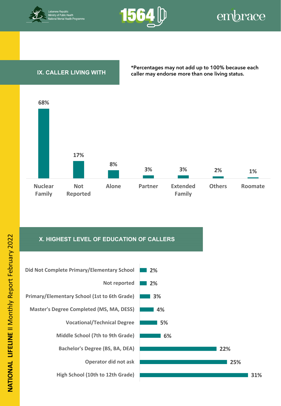



#### **IX. CALLER LIVING WITH**

**\*Percentages may not add up to 100% because each caller may endorse more than one living status.**



#### **X. HIGHEST LEVEL OF EDUCATION OF CALLERS**



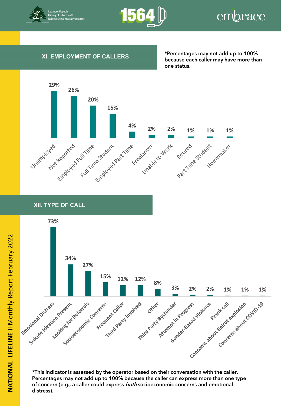



#### **XI. EMPLOYMENT OF CALLERS**

**\*Percentages may not add up to 100% because each caller may have more than one status.**



**XII. CHANGE IN LEVEL OF DISTRESS FROM BEGINNING TO END OF CALL XII. TYPE OF CALL**



**\*This indicator is assessed by the operator based on their conversation with the caller. Percentages may not add up to 100% because the caller can express more than one type of concern (e.g., a caller could express both socioeconomic concerns and emotional distress).**